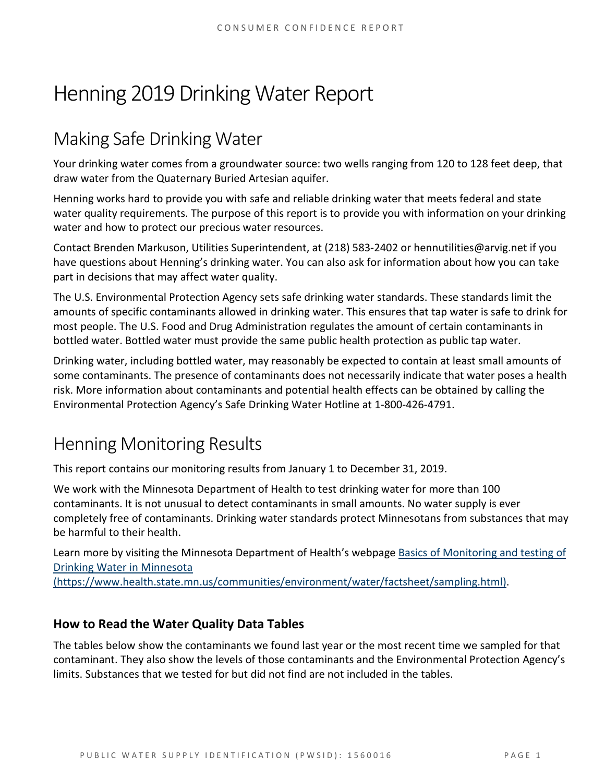# Henning 2019 Drinking Water Report

# Making Safe Drinking Water

Your drinking water comes from a groundwater source: two wells ranging from 120 to 128 feet deep, that draw water from the Quaternary Buried Artesian aquifer.

Henning works hard to provide you with safe and reliable drinking water that meets federal and state water quality requirements. The purpose of this report is to provide you with information on your drinking water and how to protect our precious water resources.

Contact Brenden Markuson, Utilities Superintendent, at (218) 583-2402 or hennutilities@arvig.net if you have questions about Henning's drinking water. You can also ask for information about how you can take part in decisions that may affect water quality.

The U.S. Environmental Protection Agency sets safe drinking water standards. These standards limit the amounts of specific contaminants allowed in drinking water. This ensures that tap water is safe to drink for most people. The U.S. Food and Drug Administration regulates the amount of certain contaminants in bottled water. Bottled water must provide the same public health protection as public tap water.

Drinking water, including bottled water, may reasonably be expected to contain at least small amounts of some contaminants. The presence of contaminants does not necessarily indicate that water poses a health risk. More information about contaminants and potential health effects can be obtained by calling the Environmental Protection Agency's Safe Drinking Water Hotline at 1-800-426-4791.

## Henning Monitoring Results

This report contains our monitoring results from January 1 to December 31, 2019.

We work with the Minnesota Department of Health to test drinking water for more than 100 contaminants. It is not unusual to detect contaminants in small amounts. No water supply is ever completely free of contaminants. Drinking water standards protect Minnesotans from substances that may be harmful to their health.

Learn more by visiting the Minnesota Department of Health's webpage [Basics of Monitoring and testing of](https://www.health.state.mn.us/communities/environment/water/factsheet/sampling.html)  [Drinking Water in Minnesota](https://www.health.state.mn.us/communities/environment/water/factsheet/sampling.html) 

[\(https://www.health.state.mn.us/communities/environment/water/factsheet/sampling.html\).](https://www.health.state.mn.us/communities/environment/water/factsheet/sampling.html)

#### **How to Read the Water Quality Data Tables**

The tables below show the contaminants we found last year or the most recent time we sampled for that contaminant. They also show the levels of those contaminants and the Environmental Protection Agency's limits. Substances that we tested for but did not find are not included in the tables.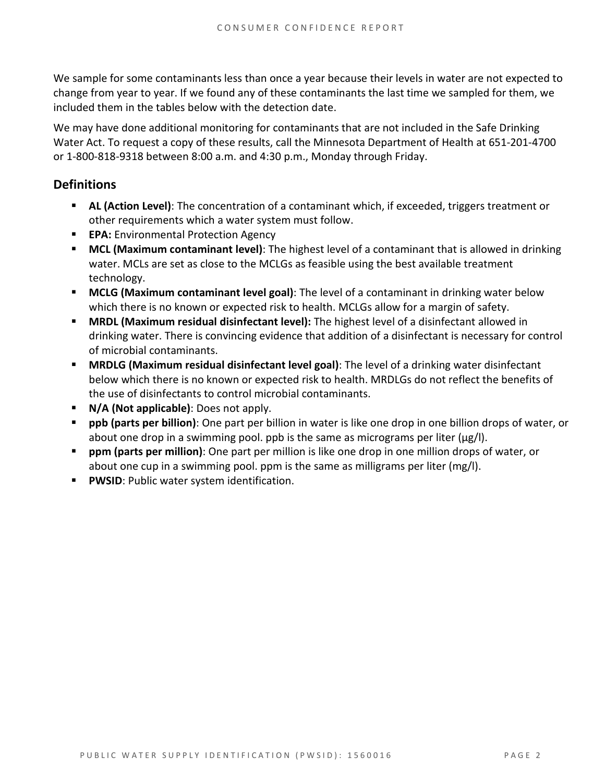We sample for some contaminants less than once a year because their levels in water are not expected to change from year to year. If we found any of these contaminants the last time we sampled for them, we included them in the tables below with the detection date.

We may have done additional monitoring for contaminants that are not included in the Safe Drinking Water Act. To request a copy of these results, call the Minnesota Department of Health at 651-201-4700 or 1-800-818-9318 between 8:00 a.m. and 4:30 p.m., Monday through Friday.

#### **Definitions**

- **AL (Action Level)**: The concentration of a contaminant which, if exceeded, triggers treatment or other requirements which a water system must follow.
- **EPA:** Environmental Protection Agency
- **MCL (Maximum contaminant level)**: The highest level of a contaminant that is allowed in drinking water. MCLs are set as close to the MCLGs as feasible using the best available treatment technology.
- **MCLG (Maximum contaminant level goal)**: The level of a contaminant in drinking water below which there is no known or expected risk to health. MCLGs allow for a margin of safety.
- **MRDL (Maximum residual disinfectant level):** The highest level of a disinfectant allowed in drinking water. There is convincing evidence that addition of a disinfectant is necessary for control of microbial contaminants.
- **MRDLG (Maximum residual disinfectant level goal)**: The level of a drinking water disinfectant below which there is no known or expected risk to health. MRDLGs do not reflect the benefits of the use of disinfectants to control microbial contaminants.
- **N/A (Not applicable)**: Does not apply.
- **ppb (parts per billion)**: One part per billion in water is like one drop in one billion drops of water, or about one drop in a swimming pool. ppb is the same as micrograms per liter ( $\mu$ g/l).
- **ppm (parts per million)**: One part per million is like one drop in one million drops of water, or about one cup in a swimming pool. ppm is the same as milligrams per liter (mg/l).
- **PWSID**: Public water system identification.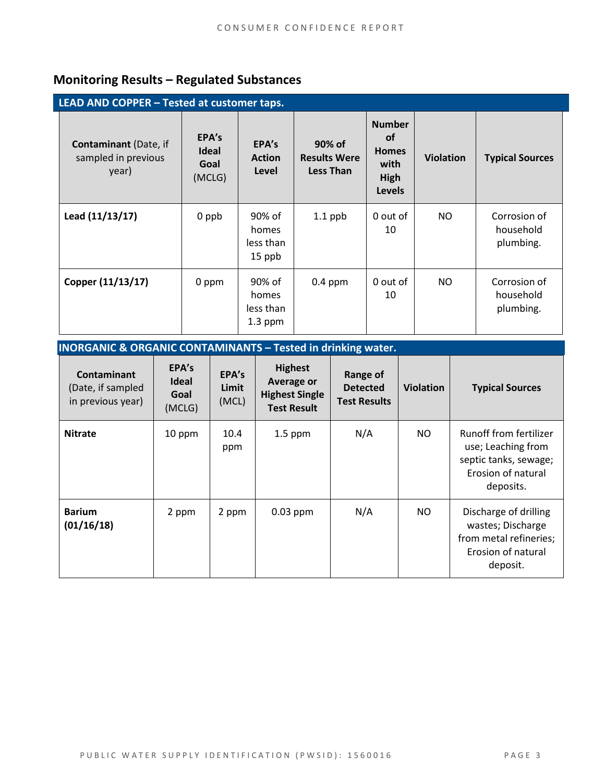### **Monitoring Results – Regulated Substances**

| LEAD AND COPPER - Tested at customer taps.                   |                                  |                                           |                                                   |                                                                             |                  |                                        |  |
|--------------------------------------------------------------|----------------------------------|-------------------------------------------|---------------------------------------------------|-----------------------------------------------------------------------------|------------------|----------------------------------------|--|
| <b>Contaminant</b> (Date, if<br>sampled in previous<br>year) | EPA's<br>Ideal<br>Goal<br>(MCLG) | EPA's<br><b>Action</b><br>Level           | 90% of<br><b>Results Were</b><br><b>Less Than</b> | <b>Number</b><br><b>of</b><br><b>Homes</b><br>with<br>High<br><b>Levels</b> | <b>Violation</b> | <b>Typical Sources</b>                 |  |
| Lead (11/13/17)                                              | 0 ppb                            | 90% of<br>homes<br>less than<br>15 ppb    | $1.1$ ppb                                         | 0 out of<br>10                                                              | NO.              | Corrosion of<br>household<br>plumbing. |  |
| Copper (11/13/17)                                            | 0 ppm                            | 90% of<br>homes<br>less than<br>$1.3$ ppm | $0.4$ ppm                                         | 0 out of<br>10                                                              | NO.              | Corrosion of<br>household<br>plumbing. |  |

| <b>INORGANIC &amp; ORGANIC CONTAMINANTS - Tested in drinking water.</b> |
|-------------------------------------------------------------------------|
|-------------------------------------------------------------------------|

| <b>Contaminant</b><br>(Date, if sampled<br>in previous year) | EPA's<br><b>Ideal</b><br>Goal<br>(MCLG) | EPA's<br>Limit<br>(MCL) | <b>Highest</b><br>Average or<br><b>Highest Single</b><br><b>Test Result</b> | Range of<br><b>Detected</b><br><b>Test Results</b> | <b>Violation</b> | <b>Typical Sources</b>                                                                                   |
|--------------------------------------------------------------|-----------------------------------------|-------------------------|-----------------------------------------------------------------------------|----------------------------------------------------|------------------|----------------------------------------------------------------------------------------------------------|
| <b>Nitrate</b>                                               | 10 ppm                                  | 10.4<br>ppm             | $1.5$ ppm                                                                   | N/A                                                | NO.              | Runoff from fertilizer<br>use; Leaching from<br>septic tanks, sewage;<br>Erosion of natural<br>deposits. |
| <b>Barium</b><br>(01/16/18)                                  | 2 ppm                                   | 2 ppm                   | $0.03$ ppm                                                                  | N/A                                                | NO.              | Discharge of drilling<br>wastes; Discharge<br>from metal refineries;<br>Erosion of natural<br>deposit.   |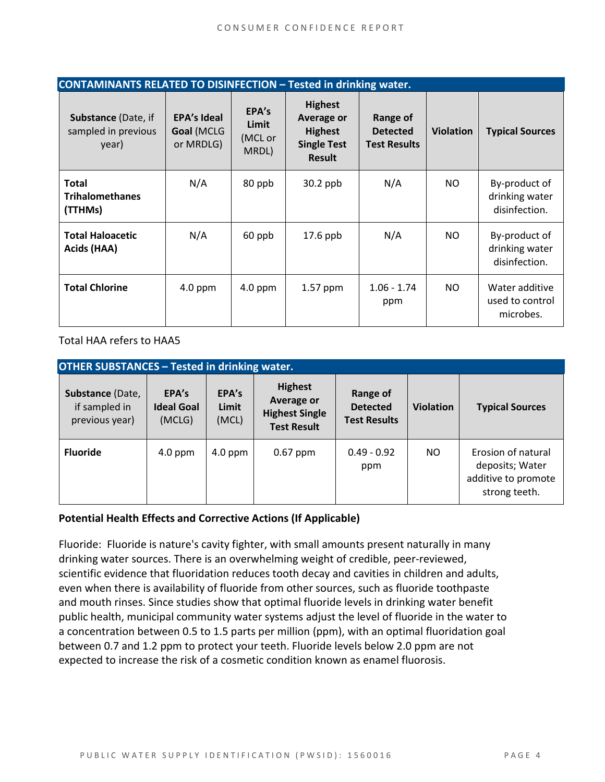| <b>CONTAMINANTS RELATED TO DISINFECTION - Tested in drinking water.</b> |                                               |                                    |                                                                                              |                                                    |                  |                                                  |  |
|-------------------------------------------------------------------------|-----------------------------------------------|------------------------------------|----------------------------------------------------------------------------------------------|----------------------------------------------------|------------------|--------------------------------------------------|--|
| <b>Substance (Date, if</b><br>sampled in previous<br>year)              | <b>EPA's Ideal</b><br>Goal (MCLG<br>or MRDLG) | EPA's<br>Limit<br>(MCL or<br>MRDL) | <b>Highest</b><br><b>Average or</b><br><b>Highest</b><br><b>Single Test</b><br><b>Result</b> | Range of<br><b>Detected</b><br><b>Test Results</b> | <b>Violation</b> | <b>Typical Sources</b>                           |  |
| <b>Total</b><br><b>Trihalomethanes</b><br>(TTHMs)                       | N/A                                           | 80 ppb                             | $30.2$ ppb                                                                                   | N/A                                                | NO.              | By-product of<br>drinking water<br>disinfection. |  |
| <b>Total Haloacetic</b><br>Acids (HAA)                                  | N/A                                           | 60 ppb                             | $17.6$ ppb                                                                                   | N/A                                                | NO.              | By-product of<br>drinking water<br>disinfection. |  |
| <b>Total Chlorine</b>                                                   | $4.0$ ppm                                     | $4.0$ ppm                          | 1.57 ppm                                                                                     | $1.06 - 1.74$<br>ppm                               | NO.              | Water additive<br>used to control<br>microbes.   |  |

Total HAA refers to HAA5

| <b>OTHER SUBSTANCES - Tested in drinking water.</b> |                                      |                         |                                                                                    |                                                    |                  |                                                                               |  |  |
|-----------------------------------------------------|--------------------------------------|-------------------------|------------------------------------------------------------------------------------|----------------------------------------------------|------------------|-------------------------------------------------------------------------------|--|--|
| Substance (Date,<br>if sampled in<br>previous year) | EPA's<br><b>Ideal Goal</b><br>(MCLG) | EPA's<br>Limit<br>(MCL) | <b>Highest</b><br><b>Average or</b><br><b>Highest Single</b><br><b>Test Result</b> | Range of<br><b>Detected</b><br><b>Test Results</b> | <b>Violation</b> | <b>Typical Sources</b>                                                        |  |  |
| <b>Fluoride</b>                                     | $4.0$ ppm                            | $4.0$ ppm               | $0.67$ ppm                                                                         | $0.49 - 0.92$<br>ppm                               | NO.              | Erosion of natural<br>deposits; Water<br>additive to promote<br>strong teeth. |  |  |

#### **Potential Health Effects and Corrective Actions (If Applicable)**

Fluoride: Fluoride is nature's cavity fighter, with small amounts present naturally in many drinking water sources. There is an overwhelming weight of credible, peer-reviewed, scientific evidence that fluoridation reduces tooth decay and cavities in children and adults, even when there is availability of fluoride from other sources, such as fluoride toothpaste and mouth rinses. Since studies show that optimal fluoride levels in drinking water benefit public health, municipal community water systems adjust the level of fluoride in the water to a concentration between 0.5 to 1.5 parts per million (ppm), with an optimal fluoridation goal between 0.7 and 1.2 ppm to protect your teeth. Fluoride levels below 2.0 ppm are not expected to increase the risk of a cosmetic condition known as enamel fluorosis.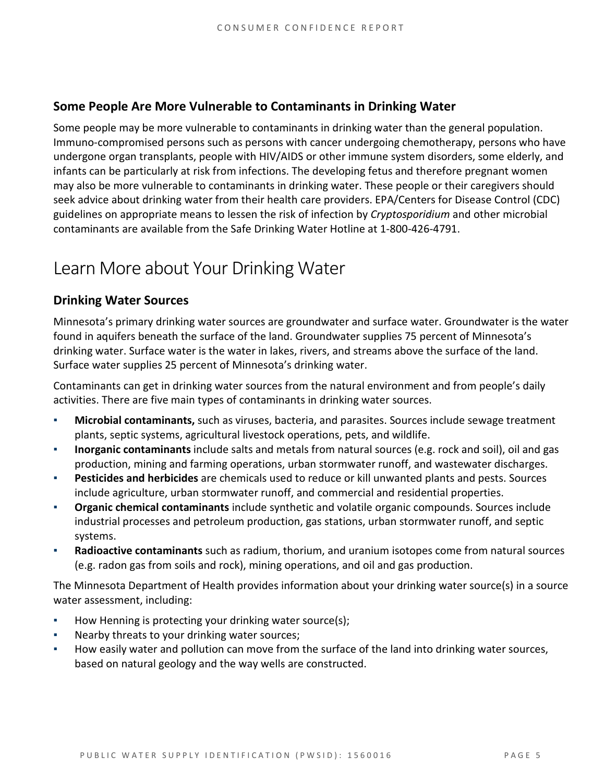#### **Some People Are More Vulnerable to Contaminants in Drinking Water**

Some people may be more vulnerable to contaminants in drinking water than the general population. Immuno-compromised persons such as persons with cancer undergoing chemotherapy, persons who have undergone organ transplants, people with HIV/AIDS or other immune system disorders, some elderly, and infants can be particularly at risk from infections. The developing fetus and therefore pregnant women may also be more vulnerable to contaminants in drinking water. These people or their caregivers should seek advice about drinking water from their health care providers. EPA/Centers for Disease Control (CDC) guidelines on appropriate means to lessen the risk of infection by *Cryptosporidium* and other microbial contaminants are available from the Safe Drinking Water Hotline at 1-800-426-4791.

## Learn More about Your Drinking Water

#### **Drinking Water Sources**

Minnesota's primary drinking water sources are groundwater and surface water. Groundwater is the water found in aquifers beneath the surface of the land. Groundwater supplies 75 percent of Minnesota's drinking water. Surface water is the water in lakes, rivers, and streams above the surface of the land. Surface water supplies 25 percent of Minnesota's drinking water.

Contaminants can get in drinking water sources from the natural environment and from people's daily activities. There are five main types of contaminants in drinking water sources.

- **Microbial contaminants,** such as viruses, bacteria, and parasites. Sources include sewage treatment plants, septic systems, agricultural livestock operations, pets, and wildlife.
- **Inorganic contaminants** include salts and metals from natural sources (e.g. rock and soil), oil and gas production, mining and farming operations, urban stormwater runoff, and wastewater discharges.
- **Pesticides and herbicides** are chemicals used to reduce or kill unwanted plants and pests. Sources include agriculture, urban stormwater runoff, and commercial and residential properties.
- **Organic chemical contaminants** include synthetic and volatile organic compounds. Sources include industrial processes and petroleum production, gas stations, urban stormwater runoff, and septic systems.
- **Radioactive contaminants** such as radium, thorium, and uranium isotopes come from natural sources (e.g. radon gas from soils and rock), mining operations, and oil and gas production.

The Minnesota Department of Health provides information about your drinking water source(s) in a source water assessment, including:

- How Henning is protecting your drinking water source(s);
- Nearby threats to your drinking water sources;
- How easily water and pollution can move from the surface of the land into drinking water sources, based on natural geology and the way wells are constructed.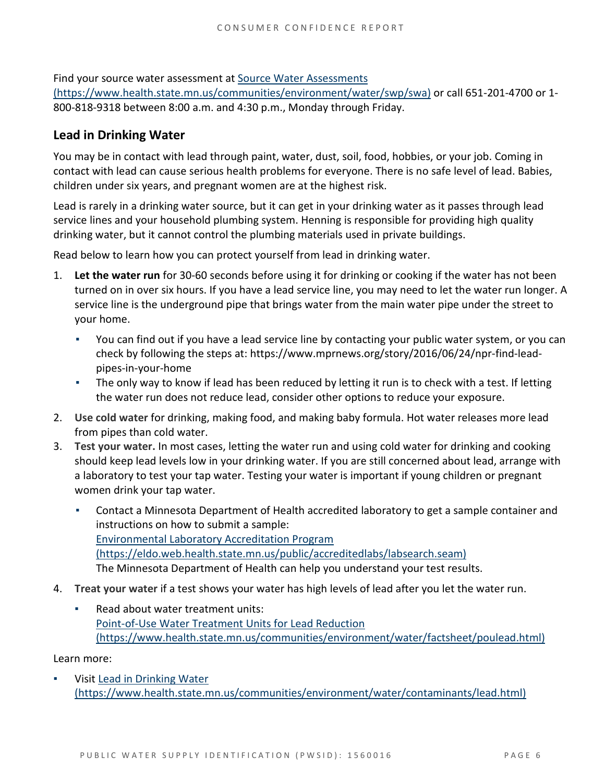Find your source water assessment a[t Source Water Assessments](https://www.health.state.mn.us/communities/environment/water/swp/swa) 

[\(https://www.health.state.mn.us/communities/environment/water/swp/swa\)](https://www.health.state.mn.us/communities/environment/water/swp/swa) or call 651-201-4700 or 1- 800-818-9318 between 8:00 a.m. and 4:30 p.m., Monday through Friday.

#### **Lead in Drinking Water**

You may be in contact with lead through paint, water, dust, soil, food, hobbies, or your job. Coming in contact with lead can cause serious health problems for everyone. There is no safe level of lead. Babies, children under six years, and pregnant women are at the highest risk.

Lead is rarely in a drinking water source, but it can get in your drinking water as it passes through lead service lines and your household plumbing system. Henning is responsible for providing high quality drinking water, but it cannot control the plumbing materials used in private buildings.

Read below to learn how you can protect yourself from lead in drinking water.

- 1. **Let the water run** for 30-60 seconds before using it for drinking or cooking if the water has not been turned on in over six hours. If you have a lead service line, you may need to let the water run longer. A service line is the underground pipe that brings water from the main water pipe under the street to your home.
	- You can find out if you have a lead service line by contacting your public water system, or you can check by following the steps at: [https://www.mprnews.org/story/2016/06/24/npr-find-lead](https://www.mprnews.org/story/2016/06/24/npr-find-lead-pipes-in-your-home)[pipes-in-your-home](https://www.mprnews.org/story/2016/06/24/npr-find-lead-pipes-in-your-home)
	- **•** The only way to know if lead has been reduced by letting it run is to check with a test. If letting the water run does not reduce lead, consider other options to reduce your exposure.
- 2. **Use cold water** for drinking, making food, and making baby formula. Hot water releases more lead from pipes than cold water.
- 3. **Test your water.** In most cases, letting the water run and using cold water for drinking and cooking should keep lead levels low in your drinking water. If you are still concerned about lead, arrange with a laboratory to test your tap water. Testing your water is important if young children or pregnant women drink your tap water.
	- Contact a Minnesota Department of Health accredited laboratory to get a sample container and instructions on how to submit a sample: [Environmental Laboratory Accreditation Program](https://eldo.web.health.state.mn.us/public/accreditedlabs/labsearch.seam)  [\(https://eldo.web.health.state.mn.us/public/accreditedlabs/labsearch.seam\)](https://eldo.web.health.state.mn.us/public/accreditedlabs/labsearch.seam) The Minnesota Department of Health can help you understand your test results.
- 4. **Treat your water** if a test shows your water has high levels of lead after you let the water run.
	- Read about water treatment units: [Point-of-Use Water Treatment Units for Lead Reduction](https://www.health.state.mn.us/communities/environment/water/factsheet/poulead.html)  [\(https://www.health.state.mn.us/communities/environment/water/factsheet/poulead.html\)](https://www.health.state.mn.us/communities/environment/water/factsheet/poulead.html)

Learn more:

Visit Lead in Drinking Water [\(https://www.health.state.mn.us/communities/environment/water/contaminants/lead.html\)](https://www.health.state.mn.us/communities/environment/water/contaminants/lead.html)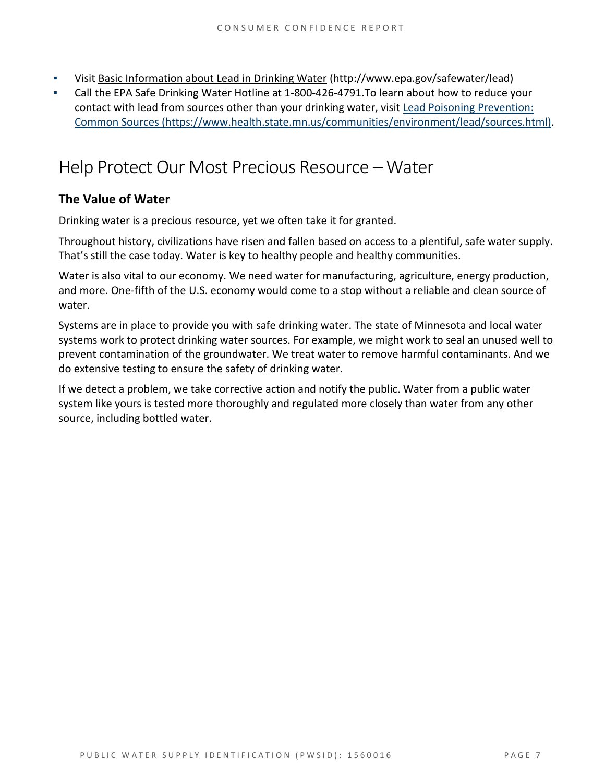- Visit [Basic Information about Lead in Drinking Water](http://www.epa.gov/safewater/lead) (http://www.epa.gov/safewater/lead)
- Call the EPA Safe Drinking Water Hotline at 1-800-426-4791.To learn about how to reduce your contact with lead from sources other than your drinking water, visi[t Lead Poisoning Prevention:](https://www.health.state.mn.us/communities/environment/lead/sources.html)  [Common Sources \(https://www.health.state.mn.us/communities/environment/lead/sources.html\).](https://www.health.state.mn.us/communities/environment/lead/sources.html)

### Help Protect Our Most Precious Resource – Water

#### **The Value of Water**

Drinking water is a precious resource, yet we often take it for granted.

Throughout history, civilizations have risen and fallen based on access to a plentiful, safe water supply. That's still the case today. Water is key to healthy people and healthy communities.

Water is also vital to our economy. We need water for manufacturing, agriculture, energy production, and more. One-fifth of the U.S. economy would come to a stop without a reliable and clean source of water.

Systems are in place to provide you with safe drinking water. The state of Minnesota and local water systems work to protect drinking water sources. For example, we might work to seal an unused well to prevent contamination of the groundwater. We treat water to remove harmful contaminants. And we do extensive testing to ensure the safety of drinking water.

If we detect a problem, we take corrective action and notify the public. Water from a public water system like yours is tested more thoroughly and regulated more closely than water from any other source, including bottled water.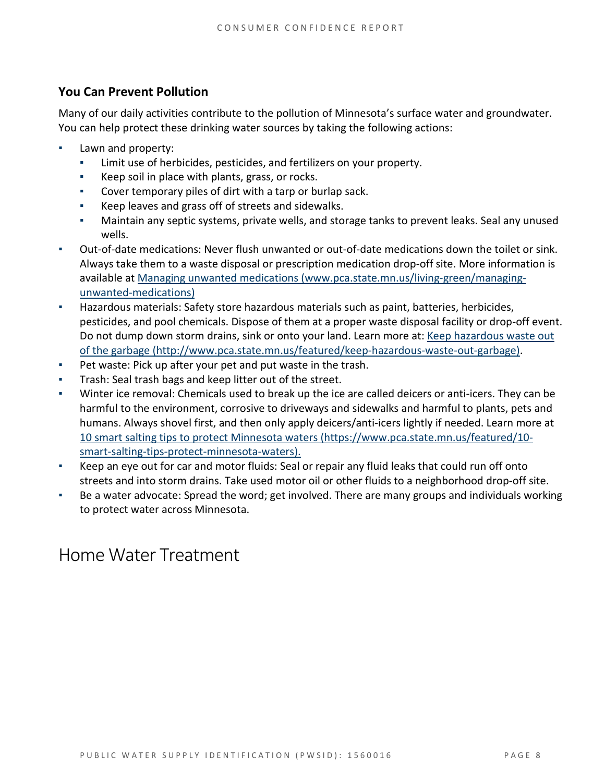#### **You Can Prevent Pollution**

Many of our daily activities contribute to the pollution of Minnesota's surface water and groundwater. You can help protect these drinking water sources by taking the following actions:

- Lawn and property:
	- Limit use of herbicides, pesticides, and fertilizers on your property.
	- Keep soil in place with plants, grass, or rocks.
	- Cover temporary piles of dirt with a tarp or burlap sack.
	- Keep leaves and grass off of streets and sidewalks.
	- Maintain any septic systems, private wells, and storage tanks to prevent leaks. Seal any unused wells.
- Out-of-date medications: Never flush unwanted or out-of-date medications down the toilet or sink. Always take them to a waste disposal or prescription medication drop-off site. More information is available at [Managing unwanted medications \(www.pca.state.mn.us/living-green/managing](http://www.pca.state.mn.us/living-green/managing-unwanted-medications)[unwanted-medications\)](http://www.pca.state.mn.us/living-green/managing-unwanted-medications)
- Hazardous materials: Safety store hazardous materials such as paint, batteries, herbicides, pesticides, and pool chemicals. Dispose of them at a proper waste disposal facility or drop-off event. Do not dump down storm drains, sink or onto your land. Learn more at: Keep hazardous waste out [of the garbage \(http://www.pca.state.mn.us/featured/keep-hazardous-waste-out-garbage\).](http://www.pca.state.mn.us/featured/keep-hazardous-waste-out-garbage)
- Pet waste: Pick up after your pet and put waste in the trash.
- Trash: Seal trash bags and keep litter out of the street.
- Winter ice removal: Chemicals used to break up the ice are called deicers or anti-icers. They can be harmful to the environment, corrosive to driveways and sidewalks and harmful to plants, pets and humans. Always shovel first, and then only apply deicers/anti-icers lightly if needed. Learn more at [10 smart salting tips to protect Minnesota waters \(https://www.pca.state.mn.us/featured/10](https://www.pca.state.mn.us/featured/10-smart-salting-tips-protect-minnesota-waters) [smart-salting-tips-protect-minnesota-waters\).](https://www.pca.state.mn.us/featured/10-smart-salting-tips-protect-minnesota-waters)
- Keep an eye out for car and motor fluids: Seal or repair any fluid leaks that could run off onto streets and into storm drains. Take used motor oil or other fluids to a neighborhood drop-off site.
- Be a water advocate: Spread the word; get involved. There are many groups and individuals working to protect water across Minnesota.

### Home Water Treatment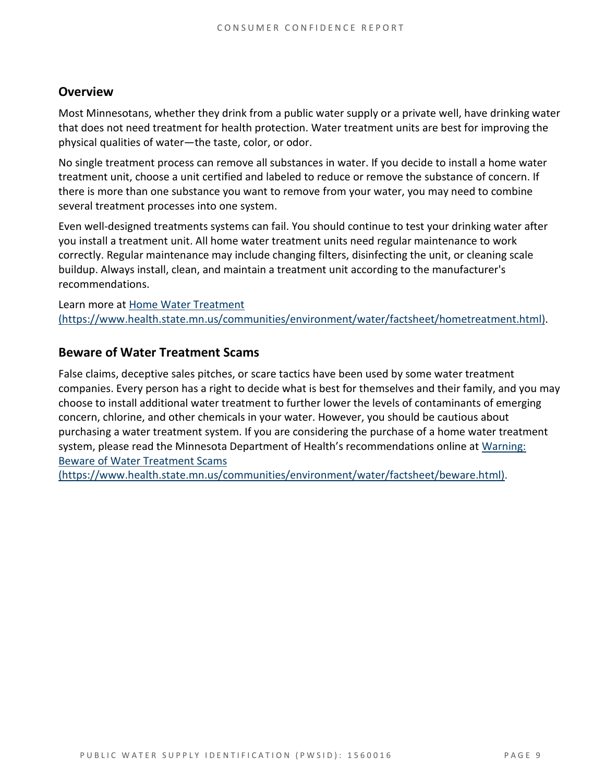#### **Overview**

Most Minnesotans, whether they drink from a public water supply or a private well, have drinking water that does not need treatment for health protection. Water treatment units are best for improving the physical qualities of water—the taste, color, or odor.

No single treatment process can remove all substances in water. If you decide to install a home water treatment unit, choose a unit certified and labeled to reduce or remove the substance of concern. If there is more than one substance you want to remove from your water, you may need to combine several treatment processes into one system.

Even well-designed treatments systems can fail. You should continue to test your drinking water after you install a treatment unit. All home water treatment units need regular maintenance to work correctly. Regular maintenance may include changing filters, disinfecting the unit, or cleaning scale buildup. Always install, clean, and maintain a treatment unit according to the manufacturer's recommendations.

Learn more at [Home Water Treatment](https://www.health.state.mn.us/communities/environment/water/factsheet/hometreatment.html)  [\(https://www.health.state.mn.us/communities/environment/water/factsheet/hometreatment.html\).](https://www.health.state.mn.us/communities/environment/water/factsheet/hometreatment.html)

#### **Beware of Water Treatment Scams**

False claims, deceptive sales pitches, or scare tactics have been used by some water treatment companies. Every person has a right to decide what is best for themselves and their family, and you may choose to install additional water treatment to further lower the levels of contaminants of emerging concern, chlorine, and other chemicals in your water. However, you should be cautious about purchasing a water treatment system. If you are considering the purchase of a home water treatment system, please read the Minnesota Department of Health's recommendations online at [Warning:](https://www.health.state.mn.us/communities/environment/water/factsheet/beware.html)  [Beware of Water Treatment Scams](https://www.health.state.mn.us/communities/environment/water/factsheet/beware.html) 

[\(https://www.health.state.mn.us/communities/environment/water/factsheet/beware.html\).](https://www.health.state.mn.us/communities/environment/water/factsheet/beware.html)